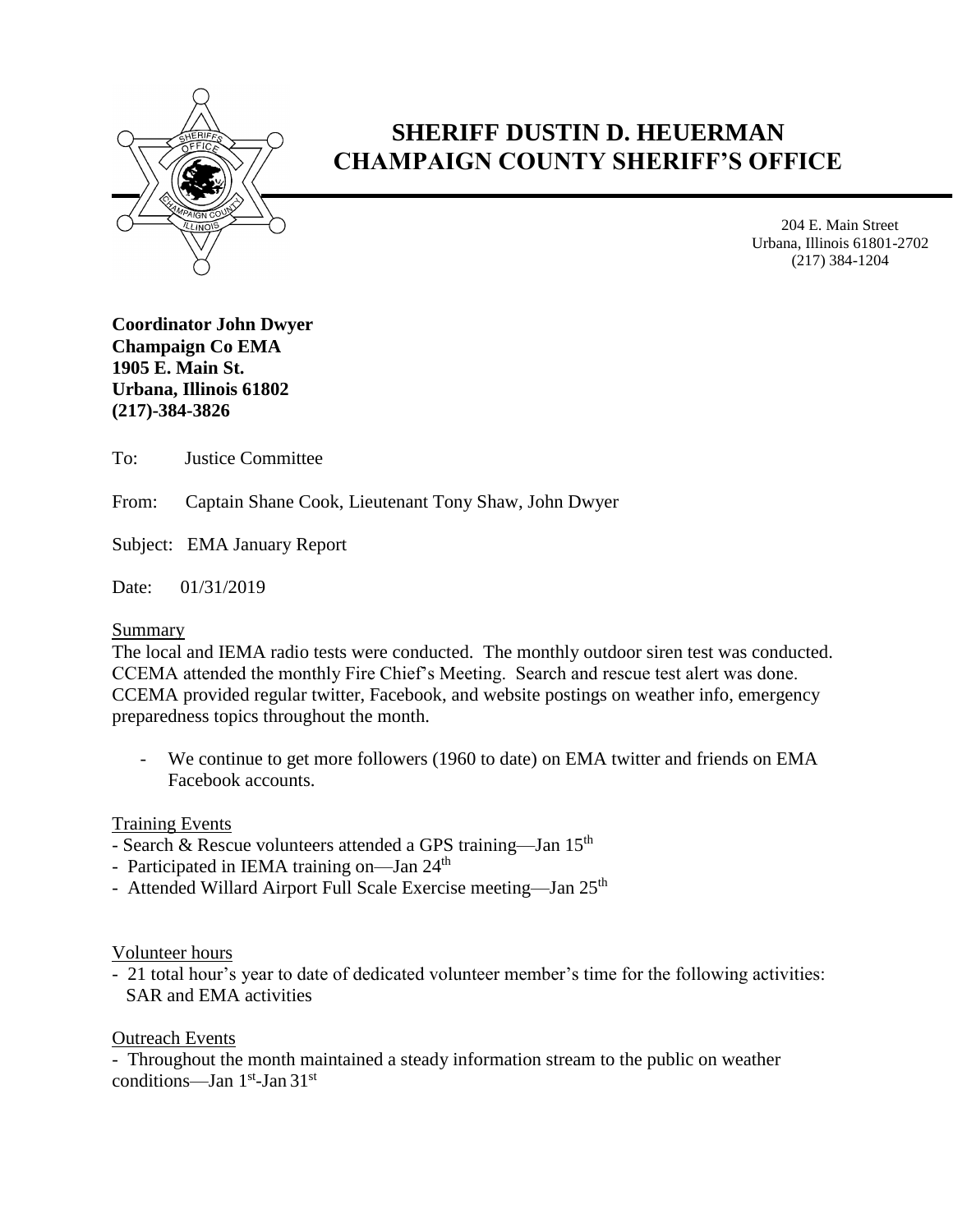

# **SHERIFF DUSTIN D. HEUERMAN CHAMPAIGN COUNTY SHERIFF'S OFFICE**

204 E. Main Street Urbana, Illinois 61801-2702 (217) 384-1204

**Coordinator John Dwyer Champaign Co EMA 1905 E. Main St. Urbana, Illinois 61802 (217)-384-3826**

To: Justice Committee

From: Captain Shane Cook, Lieutenant Tony Shaw, John Dwyer

Subject: EMA January Report

Date: 01/31/2019

# Summary

The local and IEMA radio tests were conducted. The monthly outdoor siren test was conducted. CCEMA attended the monthly Fire Chief's Meeting. Search and rescue test alert was done. CCEMA provided regular twitter, Facebook, and website postings on weather info, emergency preparedness topics throughout the month.

- We continue to get more followers (1960 to date) on EMA twitter and friends on EMA Facebook accounts.

# Training Events

- Search & Rescue volunteers attended a GPS training—Jan 15<sup>th</sup>
- Participated in IEMA training on—Jan 24<sup>th</sup>
- Attended Willard Airport Full Scale Exercise meeting—Jan 25<sup>th</sup>

# Volunteer hours

- 21 total hour's year to date of dedicated volunteer member's time for the following activities: SAR and EMA activities

# Outreach Events

- Throughout the month maintained a steady information stream to the public on weather conditions—Jan 1<sup>st</sup>-Jan 31<sup>st</sup>